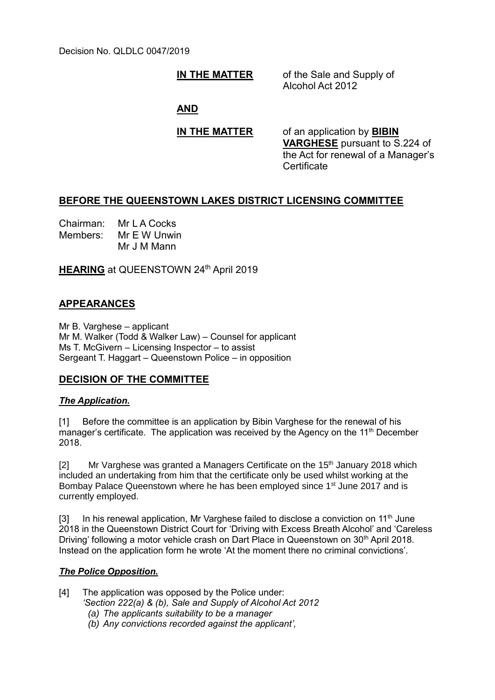Decision No. QLDLC 0047/2019

**IN THE MATTER** of the Sale and Supply of Alcohol Act 2012

## **AND**

**IN THE MATTER** of an application by **BIBIN VARGHESE** pursuant to S.224 of the Act for renewal of a Manager's Certificate

# **BEFORE THE QUEENSTOWN LAKES DISTRICT LICENSING COMMITTEE**

Chairman: Mr L A Cocks Members: Mr E W Unwin Mr J M Mann

**HEARING** at QUEENSTOWN 24<sup>th</sup> April 2019

# **APPEARANCES**

Mr B. Varghese – applicant Mr M. Walker (Todd & Walker Law) – Counsel for applicant Ms T. McGivern – Licensing Inspector – to assist Sergeant T. Haggart – Queenstown Police – in opposition

# **DECISION OF THE COMMITTEE**

### *The Application.*

[1] Before the committee is an application by Bibin Varghese for the renewal of his manager's certificate. The application was received by the Agency on the 11<sup>th</sup> December 2018.

[2] Mr Varghese was granted a Managers Certificate on the  $15<sup>th</sup>$  January 2018 which included an undertaking from him that the certificate only be used whilst working at the Bombay Palace Queenstown where he has been employed since 1<sup>st</sup> June 2017 and is currently employed.

 $[3]$  In his renewal application, Mr Varghese failed to disclose a conviction on 11<sup>th</sup> June 2018 in the Queenstown District Court for 'Driving with Excess Breath Alcohol' and 'Careless Driving' following a motor vehicle crash on Dart Place in Queenstown on 30<sup>th</sup> April 2018. Instead on the application form he wrote 'At the moment there no criminal convictions'.

### *The Police Opposition.*

[4] The application was opposed by the Police under: *'Section 222(a) & (b), Sale and Supply of Alcohol Act 2012*

- *(a) The applicants suitability to be a manager*
- *(b) Any convictions recorded against the applicant',*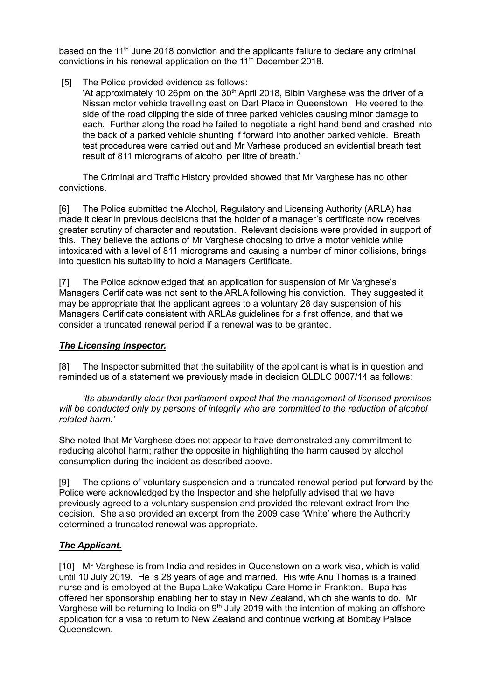based on the 11<sup>th</sup> June 2018 conviction and the applicants failure to declare any criminal convictions in his renewal application on the 11<sup>th</sup> December 2018.

[5] The Police provided evidence as follows:

'At approximately 10 26pm on the  $30<sup>th</sup>$  April 2018, Bibin Varghese was the driver of a Nissan motor vehicle travelling east on Dart Place in Queenstown. He veered to the side of the road clipping the side of three parked vehicles causing minor damage to each. Further along the road he failed to negotiate a right hand bend and crashed into the back of a parked vehicle shunting if forward into another parked vehicle. Breath test procedures were carried out and Mr Varhese produced an evidential breath test result of 811 micrograms of alcohol per litre of breath.'

The Criminal and Traffic History provided showed that Mr Varghese has no other convictions.

[6] The Police submitted the Alcohol, Regulatory and Licensing Authority (ARLA) has made it clear in previous decisions that the holder of a manager's certificate now receives greater scrutiny of character and reputation. Relevant decisions were provided in support of this. They believe the actions of Mr Varghese choosing to drive a motor vehicle while intoxicated with a level of 811 micrograms and causing a number of minor collisions, brings into question his suitability to hold a Managers Certificate.

[7] The Police acknowledged that an application for suspension of Mr Varghese's Managers Certificate was not sent to the ARLA following his conviction. They suggested it may be appropriate that the applicant agrees to a voluntary 28 day suspension of his Managers Certificate consistent with ARLAs guidelines for a first offence, and that we consider a truncated renewal period if a renewal was to be granted.

## *The Licensing Inspector.*

[8] The Inspector submitted that the suitability of the applicant is what is in question and reminded us of a statement we previously made in decision QLDLC 0007/14 as follows:

*'Its abundantly clear that parliament expect that the management of licensed premises will be conducted only by persons of integrity who are committed to the reduction of alcohol related harm.'*

She noted that Mr Varghese does not appear to have demonstrated any commitment to reducing alcohol harm; rather the opposite in highlighting the harm caused by alcohol consumption during the incident as described above.

[9] The options of voluntary suspension and a truncated renewal period put forward by the Police were acknowledged by the Inspector and she helpfully advised that we have previously agreed to a voluntary suspension and provided the relevant extract from the decision. She also provided an excerpt from the 2009 case 'White' where the Authority determined a truncated renewal was appropriate.

# *The Applicant.*

[10] Mr Varghese is from India and resides in Queenstown on a work visa, which is valid until 10 July 2019. He is 28 years of age and married. His wife Anu Thomas is a trained nurse and is employed at the Bupa Lake Wakatipu Care Home in Frankton. Bupa has offered her sponsorship enabling her to stay in New Zealand, which she wants to do. Mr Varghese will be returning to India on  $9<sup>th</sup>$  July 2019 with the intention of making an offshore application for a visa to return to New Zealand and continue working at Bombay Palace Queenstown.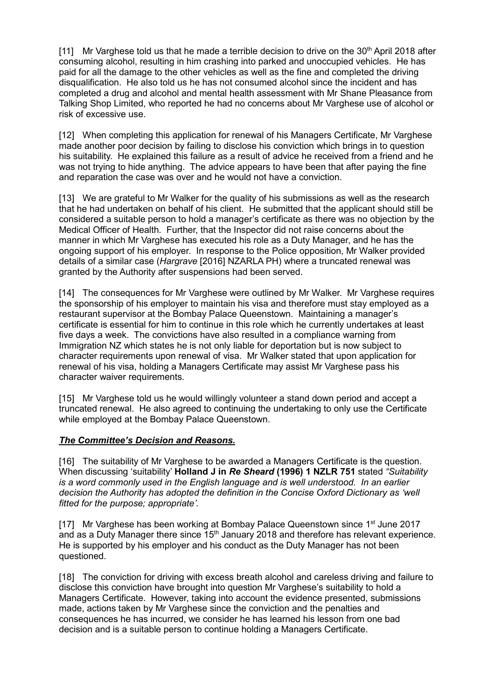[11] Mr Varghese told us that he made a terrible decision to drive on the  $30<sup>th</sup>$  April 2018 after consuming alcohol, resulting in him crashing into parked and unoccupied vehicles. He has paid for all the damage to the other vehicles as well as the fine and completed the driving disqualification. He also told us he has not consumed alcohol since the incident and has completed a drug and alcohol and mental health assessment with Mr Shane Pleasance from Talking Shop Limited, who reported he had no concerns about Mr Varghese use of alcohol or risk of excessive use.

[12] When completing this application for renewal of his Managers Certificate, Mr Varghese made another poor decision by failing to disclose his conviction which brings in to question his suitability. He explained this failure as a result of advice he received from a friend and he was not trying to hide anything. The advice appears to have been that after paying the fine and reparation the case was over and he would not have a conviction.

[13] We are grateful to Mr Walker for the quality of his submissions as well as the research that he had undertaken on behalf of his client. He submitted that the applicant should still be considered a suitable person to hold a manager's certificate as there was no objection by the Medical Officer of Health. Further, that the Inspector did not raise concerns about the manner in which Mr Varghese has executed his role as a Duty Manager, and he has the ongoing support of his employer. In response to the Police opposition, Mr Walker provided details of a similar case (*Hargrave* [2016] NZARLA PH) where a truncated renewal was granted by the Authority after suspensions had been served.

[14] The consequences for Mr Varghese were outlined by Mr Walker. Mr Varghese requires the sponsorship of his employer to maintain his visa and therefore must stay employed as a restaurant supervisor at the Bombay Palace Queenstown. Maintaining a manager's certificate is essential for him to continue in this role which he currently undertakes at least five days a week. The convictions have also resulted in a compliance warning from Immigration NZ which states he is not only liable for deportation but is now subject to character requirements upon renewal of visa. Mr Walker stated that upon application for renewal of his visa, holding a Managers Certificate may assist Mr Varghese pass his character waiver requirements.

[15] Mr Varghese told us he would willingly volunteer a stand down period and accept a truncated renewal. He also agreed to continuing the undertaking to only use the Certificate while employed at the Bombay Palace Queenstown.

### *The Committee's Decision and Reasons.*

[16] The suitability of Mr Varghese to be awarded a Managers Certificate is the question. When discussing 'suitability' **Holland J in** *Re Sheard* **(1996) 1 NZLR 751** stated *"Suitability is a word commonly used in the English language and is well understood. In an earlier decision the Authority has adopted the definition in the Concise Oxford Dictionary as 'well fitted for the purpose; appropriate'.*

[17] Mr Varghese has been working at Bombay Palace Queenstown since 1<sup>st</sup> June 2017 and as a Duty Manager there since  $15<sup>th</sup>$  January 2018 and therefore has relevant experience. He is supported by his employer and his conduct as the Duty Manager has not been questioned.

[18] The conviction for driving with excess breath alcohol and careless driving and failure to disclose this conviction have brought into question Mr Varghese's suitability to hold a Managers Certificate. However, taking into account the evidence presented, submissions made, actions taken by Mr Varghese since the conviction and the penalties and consequences he has incurred, we consider he has learned his lesson from one bad decision and is a suitable person to continue holding a Managers Certificate.